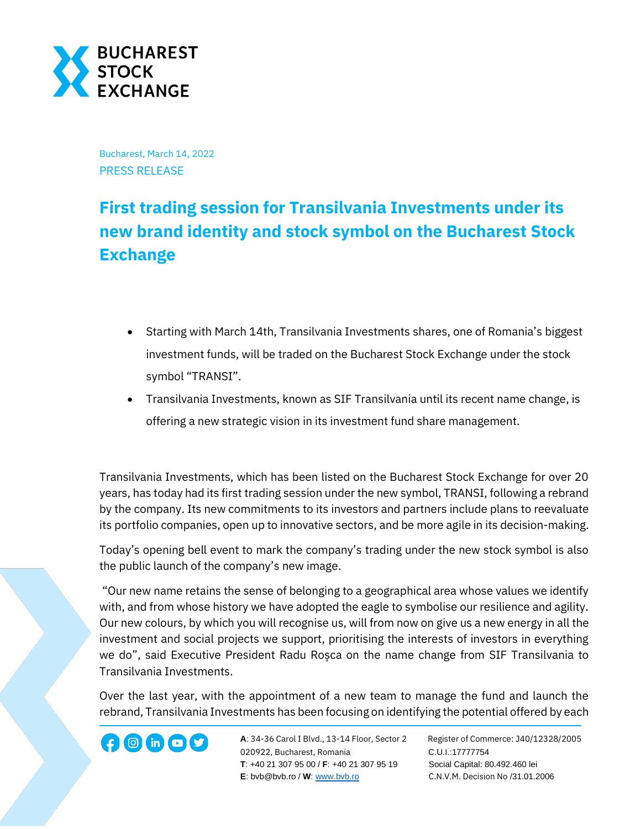

Bucharest, March 14, 2022 PRESS RELEASE

## **First trading session for Transilvania Investments under its new brand identity and stock symbol on the Bucharest Stock Exchange**

- Starting with March 14th, Transilvania Investments shares, one of Romania's biggest investment funds, will be traded on the Bucharest Stock Exchange under the stock symbol "TRANSI".
- Transilvania Investments, known as SIF Transilvania until its recent name change, is offering a new strategic vision in its investment fund share management.

Transilvania Investments, which has been listed on the Bucharest Stock Exchange for over 20 years, has today had its first trading session under the new symbol, TRANSI, following a rebrand by the company. Its new commitments to its investors and partners include plans to reevaluate its portfolio companies, open up to innovative sectors, and be more agile in its decision-making.

Today's opening bell event to mark the company's trading under the new stock symbol is also the public launch of the company's new image.

"Our new name retains the sense of belonging to a geographical area whose values we identify with, and from whose history we have adopted the eagle to symbolise our resilience and agility. Our new colours, by which you will recognise us, will from now on give us a new energy in all the investment and social projects we support, prioritising the interests of investors in everything we do", said Executive President Radu Roșca on the name change from SIF Transilvania to Transilvania Investments.

Over the last year, with the appointment of a new team to manage the fund and launch the rebrand, Transilvania Investments has been focusing on identifying the potential offered by each

**A**: 34-36 Carol I Blvd., 13-14 Floor, Sector 2 Register of Commerce: J40/12328/2005 020922, Bucharest, Romania C.U.I.:17777754  **T**: +40 21 307 95 00 / **F**: +40 21 307 95 19 Social Capital: 80.492.460 lei **E**: bvb@bvb.ro / **W**[: www.bvb.ro](http://www.bvb.ro/) C.N.V.M. Decision No /31.01.2006